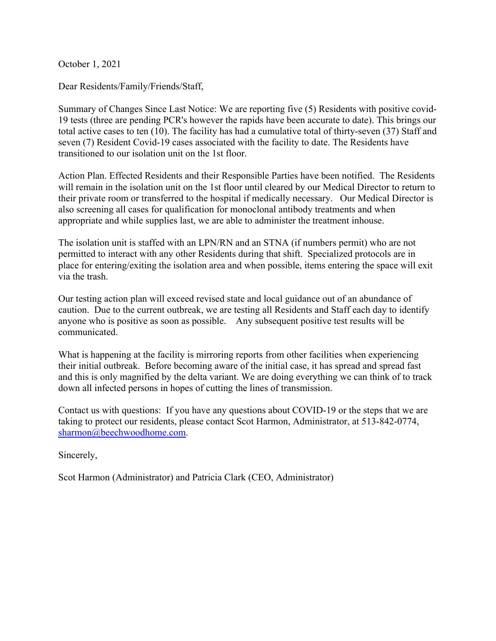October 1, 2021

Dear Residents/Family/Friends/Staff,

Summary of Changes Since Last Notice: We are reporting five (5) Residents with positive covid-19 tests (three are pending PCR's however the rapids have been accurate to date). This brings our total active cases to ten (10). The facility has had a cumulative total of thirty-seven (37) Staff and seven (7) Resident Covid-19 cases associated with the facility to date. The Residents have transitioned to our isolation unit on the 1st floor.

Action Plan. Effected Residents and their Responsible Parties have been notified. The Residents will remain in the isolation unit on the 1st floor until cleared by our Medical Director to return to their private room or transferred to the hospital if medically necessary. Our Medical Director is also screening all cases for qualification for monoclonal antibody treatments and when appropriate and while supplies last, we are able to administer the treatment inhouse.

The isolation unit is staffed with an LPN/RN and an STNA (if numbers permit) who are not permitted to interact with any other Residents during that shift. Specialized protocols are in place for entering/exiting the isolation area and when possible, items entering the space will exit via the trash.

Our testing action plan will exceed revised state and local guidance out of an abundance of caution. Due to the current outbreak, we are testing all Residents and Staff each day to identify anyone who is positive as soon as possible. Any subsequent positive test results will be communicated.

What is happening at the facility is mirroring reports from other facilities when experiencing their initial outbreak. Before becoming aware of the initial case, it has spread and spread fast and this is only magnified by the delta variant. We are doing everything we can think of to track down all infected persons in hopes of cutting the lines of transmission.

Contact us with questions: If you have any questions about COVID-19 or the steps that we are taking to protect our residents, please contact Scot Harmon, Administrator, at 513-842-0774, sharmon@beechwoodhome.com.

Sincerely,

Scot Harmon (Administrator) and Patricia Clark (CEO, Administrator)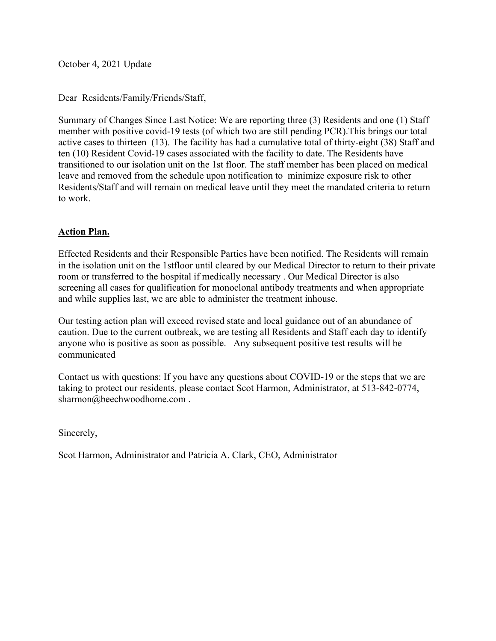October 4, 2021 Update

Dear Residents/Family/Friends/Staff,

Summary of Changes Since Last Notice: We are reporting three (3) Residents and one (1) Staff member with positive covid-19 tests (of which two are still pending PCR).This brings our total active cases to thirteen (13). The facility has had a cumulative total of thirty-eight (38) Staff and ten (10) Resident Covid-19 cases associated with the facility to date. The Residents have transitioned to our isolation unit on the 1st floor. The staff member has been placed on medical leave and removed from the schedule upon notification to minimize exposure risk to other Residents/Staff and will remain on medical leave until they meet the mandated criteria to return to work.

### **Action Plan.**

Effected Residents and their Responsible Parties have been notified. The Residents will remain in the isolation unit on the 1stfloor until cleared by our Medical Director to return to their private room or transferred to the hospital if medically necessary . Our Medical Director is also screening all cases for qualification for monoclonal antibody treatments and when appropriate and while supplies last, we are able to administer the treatment inhouse.

Our testing action plan will exceed revised state and local guidance out of an abundance of caution. Due to the current outbreak, we are testing all Residents and Staff each day to identify anyone who is positive as soon as possible. Any subsequent positive test results will be communicated

Contact us with questions: If you have any questions about COVID-19 or the steps that we are taking to protect our residents, please contact Scot Harmon, Administrator, at 513-842-0774, sharmon@beechwoodhome.com .

Sincerely,

Scot Harmon, Administrator and Patricia A. Clark, CEO, Administrator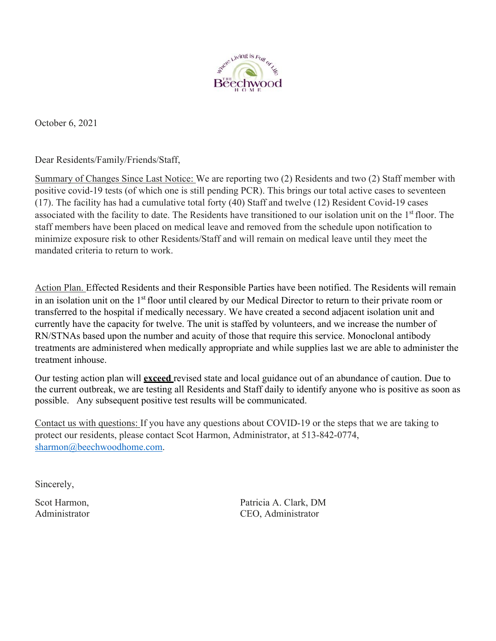

October 6, 2021

Dear Residents/Family/Friends/Staff,

Summary of Changes Since Last Notice: We are reporting two (2) Residents and two (2) Staff member with positive covid-19 tests (of which one is still pending PCR). This brings our total active cases to seventeen (17). The facility has had a cumulative total forty (40) Staff and twelve (12) Resident Covid-19 cases associated with the facility to date. The Residents have transitioned to our isolation unit on the 1<sup>st</sup> floor. The staff members have been placed on medical leave and removed from the schedule upon notification to minimize exposure risk to other Residents/Staff and will remain on medical leave until they meet the mandated criteria to return to work.

Action Plan. Effected Residents and their Responsible Parties have been notified. The Residents will remain in an isolation unit on the 1st floor until cleared by our Medical Director to return to their private room or transferred to the hospital if medically necessary. We have created a second adjacent isolation unit and currently have the capacity for twelve. The unit is staffed by volunteers, and we increase the number of RN/STNAs based upon the number and acuity of those that require this service. Monoclonal antibody treatments are administered when medically appropriate and while supplies last we are able to administer the treatment inhouse.

Our testing action plan will **exceed** revised state and local guidance out of an abundance of caution. Due to the current outbreak, we are testing all Residents and Staff daily to identify anyone who is positive as soon as possible. Any subsequent positive test results will be communicated.

Contact us with questions: If you have any questions about COVID-19 or the steps that we are taking to protect our residents, please contact Scot Harmon, Administrator, at 513-842-0774, sharmon@beechwoodhome.com.

Sincerely,

Scot Harmon, Patricia A. Clark, DM Administrator CEO, Administrator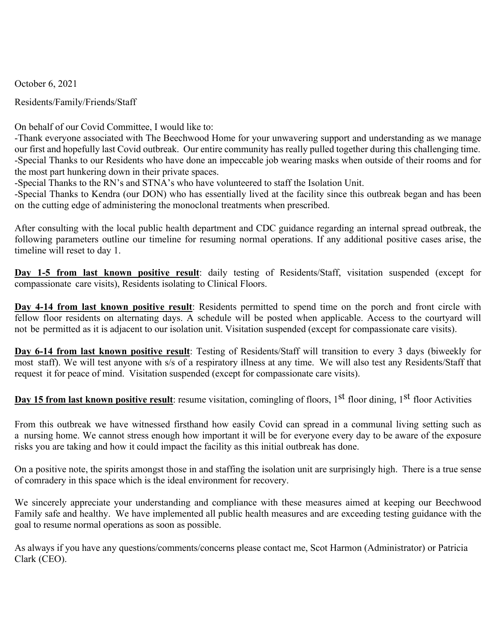October 6, 2021

Residents/Family/Friends/Staff

On behalf of our Covid Committee, I would like to:

‐Thank everyone associated with The Beechwood Home for your unwavering support and understanding as we manage our first and hopefully last Covid outbreak. Our entire community has really pulled together during this challenging time. ‐Special Thanks to our Residents who have done an impeccable job wearing masks when outside of their rooms and for the most part hunkering down in their private spaces.

‐Special Thanks to the RN's and STNA's who have volunteered to staff the Isolation Unit.

‐Special Thanks to Kendra (our DON) who has essentially lived at the facility since this outbreak began and has been on the cutting edge of administering the monoclonal treatments when prescribed.

After consulting with the local public health department and CDC guidance regarding an internal spread outbreak, the following parameters outline our timeline for resuming normal operations. If any additional positive cases arise, the timeline will reset to day 1.

Day 1-5 from last known positive result: daily testing of Residents/Staff, visitation suspended (except for compassionate care visits), Residents isolating to Clinical Floors.

Day 4-14 from last known positive result: Residents permitted to spend time on the porch and front circle with fellow floor residents on alternating days. A schedule will be posted when applicable. Access to the courtyard will not be permitted as it is adjacent to our isolation unit. Visitation suspended (except for compassionate care visits).

**Day 6‐14 from last known positive result**: Testing of Residents/Staff will transition to every 3 days (biweekly for most staff). We will test anyone with s/s of a respiratory illness at any time. We will also test any Residents/Staff that request it for peace of mind. Visitation suspended (except for compassionate care visits).

Day 15 from last known positive result: resume visitation, comingling of floors, 1<sup>st</sup> floor dining, 1<sup>st</sup> floor Activities

From this outbreak we have witnessed firsthand how easily Covid can spread in a communal living setting such as a nursing home. We cannot stress enough how important it will be for everyone every day to be aware of the exposure risks you are taking and how it could impact the facility as this initial outbreak has done.

On a positive note, the spirits amongst those in and staffing the isolation unit are surprisingly high. There is a true sense of comradery in this space which is the ideal environment for recovery.

We sincerely appreciate your understanding and compliance with these measures aimed at keeping our Beechwood Family safe and healthy. We have implemented all public health measures and are exceeding testing guidance with the goal to resume normal operations as soon as possible.

As always if you have any questions/comments/concerns please contact me, Scot Harmon (Administrator) or Patricia Clark (CEO).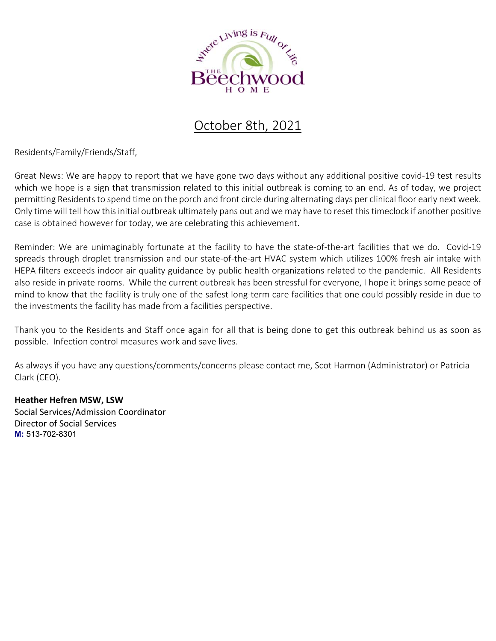

# October 8th, 2021

Residents/Family/Friends/Staff,

Great News: We are happy to report that we have gone two days without any additional positive covid‐19 test results which we hope is a sign that transmission related to this initial outbreak is coming to an end. As of today, we project permitting Residents to spend time on the porch and front circle during alternating days per clinical floor early next week. Only time will tell how this initial outbreak ultimately pans out and we may have to reset this timeclock if another positive case is obtained however for today, we are celebrating this achievement.

Reminder: We are unimaginably fortunate at the facility to have the state-of-the-art facilities that we do. Covid-19 spreads through droplet transmission and our state-of-the-art HVAC system which utilizes 100% fresh air intake with HEPA filters exceeds indoor air quality guidance by public health organizations related to the pandemic. All Residents also reside in private rooms. While the current outbreak has been stressful for everyone, I hope it brings some peace of mind to know that the facility is truly one of the safest long-term care facilities that one could possibly reside in due to the investments the facility has made from a facilities perspective.

Thank you to the Residents and Staff once again for all that is being done to get this outbreak behind us as soon as possible. Infection control measures work and save lives.

As always if you have any questions/comments/concerns please contact me, Scot Harmon (Administrator) or Patricia Clark (CEO).

### **Heather Hefren MSW, LSW**

Social Services/Admission Coordinator Director of Social Services **M:** 513-702-8301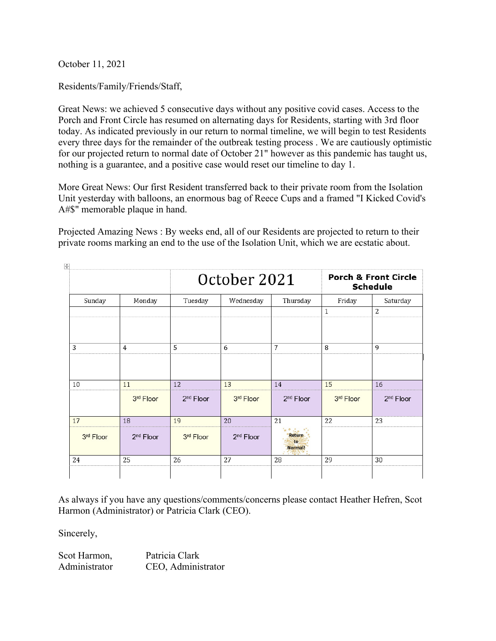October 11, 2021

Residents/Family/Friends/Staff,

Great News: we achieved 5 consecutive days without any positive covid cases. Access to the Porch and Front Circle has resumed on alternating days for Residents, starting with 3rd floor today. As indicated previously in our return to normal timeline, we will begin to test Residents every three days for the remainder of the outbreak testing process . We are cautiously optimistic for our projected return to normal date of October 21" however as this pandemic has taught us, nothing is a guarantee, and a positive case would reset our timeline to day 1.

More Great News: Our first Resident transferred back to their private room from the Isolation Unit yesterday with balloons, an enormous bag of Reece Cups and a framed "I Kicked Covid's A#\$" memorable plaque in hand.

Projected Amazing News : By weeks end, all of our Residents are projected to return to their private rooms marking an end to the use of the Isolation Unit, which we are ecstatic about.

|           | Monday                | October 2021          |                       |                         | <b>Porch &amp; Front Circle</b><br><b>Schedule</b> |                       |
|-----------|-----------------------|-----------------------|-----------------------|-------------------------|----------------------------------------------------|-----------------------|
| Sunday    |                       | Tuesday               | Wednesday             | Thursday                | Friday                                             | Saturday              |
|           |                       |                       |                       |                         | 1                                                  | $\overline{2}$        |
| 3         | 4                     | 5                     | 6                     | 7                       | 8                                                  | 9                     |
| 10        | 11                    | 12                    | 13                    | 14                      | 15                                                 | 16                    |
|           | 3rd Floor             | 2 <sup>nd</sup> Floor | 3rd Floor             | 2 <sup>nd</sup> Floor   | 3rd Floor                                          | 2 <sup>nd</sup> Floor |
| 17        | 18                    | 19                    | 20                    | 21                      | 22                                                 | 23                    |
| 3rd Floor | 2 <sup>nd</sup> Floor | 3rd Floor             | 2 <sup>nd</sup> Floor | Return<br>to<br>Normal! |                                                    |                       |
| 24        | 25                    | 26                    | 27                    | 28                      | 29                                                 | 30                    |

As always if you have any questions/comments/concerns please contact Heather Hefren, Scot Harmon (Administrator) or Patricia Clark (CEO).

Sincerely,

| Scot Harmon,  | Patricia Clark     |
|---------------|--------------------|
| Administrator | CEO, Administrator |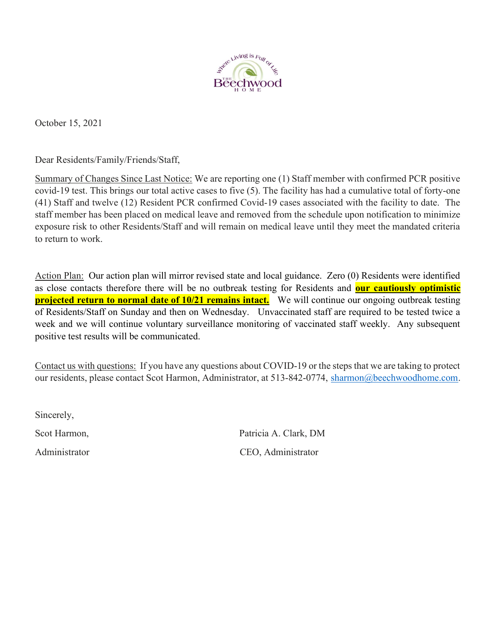

October 15, 2021

Dear Residents/Family/Friends/Staff,

Summary of Changes Since Last Notice: We are reporting one (1) Staff member with confirmed PCR positive covid-19 test. This brings our total active cases to five (5). The facility has had a cumulative total of forty-one (41) Staff and twelve (12) Resident PCR confirmed Covid-19 cases associated with the facility to date. The staff member has been placed on medical leave and removed from the schedule upon notification to minimize exposure risk to other Residents/Staff and will remain on medical leave until they meet the mandated criteria to return to work.

Action Plan: Our action plan will mirror revised state and local guidance. Zero (0) Residents were identified as close contacts therefore there will be no outbreak testing for Residents and **our cautiously optimistic projected return to normal date of 10/21 remains intact.** We will continue our ongoing outbreak testing of Residents/Staff on Sunday and then on Wednesday. Unvaccinated staff are required to be tested twice a week and we will continue voluntary surveillance monitoring of vaccinated staff weekly. Any subsequent positive test results will be communicated.

Contact us with questions: If you have any questions about COVID-19 or the steps that we are taking to protect our residents, please contact Scot Harmon, Administrator, at 513-842-0774, sharmon@beechwoodhome.com.

Sincerely,

Scot Harmon, Scot Harmon, Patricia A. Clark, DM Administrator CEO, Administrator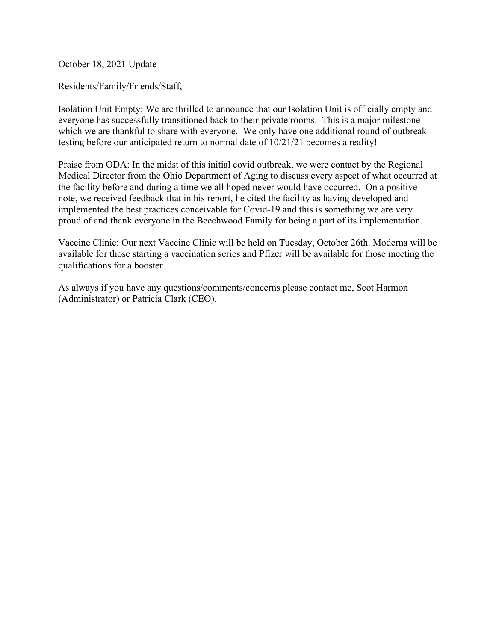October 18, 2021 Update

Residents/Family/Friends/Staff,

Isolation Unit Empty: We are thrilled to announce that our Isolation Unit is officially empty and everyone has successfully transitioned back to their private rooms. This is a major milestone which we are thankful to share with everyone. We only have one additional round of outbreak testing before our anticipated return to normal date of 10/21/21 becomes a reality!

Praise from ODA: In the midst of this initial covid outbreak, we were contact by the Regional Medical Director from the Ohio Department of Aging to discuss every aspect of what occurred at the facility before and during a time we all hoped never would have occurred. On a positive note, we received feedback that in his report, he cited the facility as having developed and implemented the best practices conceivable for Covid-19 and this is something we are very proud of and thank everyone in the Beechwood Family for being a part of its implementation.

Vaccine Clinic: Our next Vaccine Clinic will be held on Tuesday, October 26th. Moderna will be available for those starting a vaccination series and Pfizer will be available for those meeting the qualifications for a booster.

As always if you have any questions/comments/concerns please contact me, Scot Harmon (Administrator) or Patricia Clark (CEO).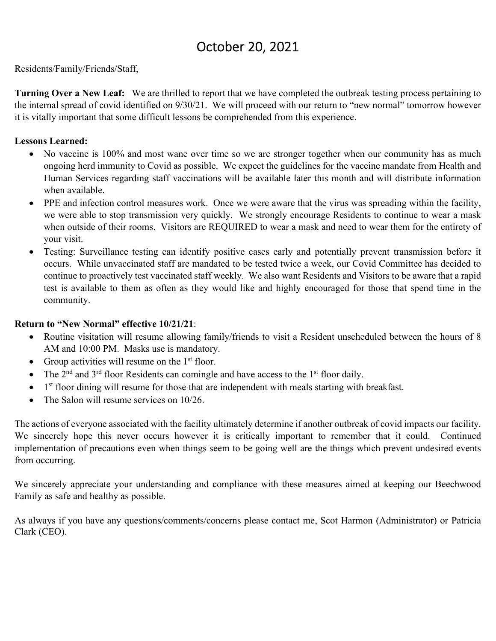# October 20, 2021

Residents/Family/Friends/Staff,

**Turning Over a New Leaf:** We are thrilled to report that we have completed the outbreak testing process pertaining to the internal spread of covid identified on 9/30/21. We will proceed with our return to "new normal" tomorrow however it is vitally important that some difficult lessons be comprehended from this experience.

## **Lessons Learned:**

- No vaccine is 100% and most wane over time so we are stronger together when our community has as much ongoing herd immunity to Covid as possible. We expect the guidelines for the vaccine mandate from Health and Human Services regarding staff vaccinations will be available later this month and will distribute information when available.
- PPE and infection control measures work. Once we were aware that the virus was spreading within the facility, we were able to stop transmission very quickly. We strongly encourage Residents to continue to wear a mask when outside of their rooms. Visitors are REQUIRED to wear a mask and need to wear them for the entirety of your visit.
- Testing: Surveillance testing can identify positive cases early and potentially prevent transmission before it occurs. While unvaccinated staff are mandated to be tested twice a week, our Covid Committee has decided to continue to proactively test vaccinated staff weekly. We also want Residents and Visitors to be aware that a rapid test is available to them as often as they would like and highly encouraged for those that spend time in the community.

## **Return to "New Normal" effective 10/21/21**:

- Routine visitation will resume allowing family/friends to visit a Resident unscheduled between the hours of 8 AM and 10:00 PM. Masks use is mandatory.
- Group activities will resume on the  $1<sup>st</sup>$  floor.
- The  $2<sup>nd</sup>$  and  $3<sup>rd</sup>$  floor Residents can comingle and have access to the 1<sup>st</sup> floor daily.
- $\bullet$  1<sup>st</sup> floor dining will resume for those that are independent with meals starting with breakfast.
- The Salon will resume services on 10/26.

The actions of everyone associated with the facility ultimately determine if another outbreak of covid impacts our facility. We sincerely hope this never occurs however it is critically important to remember that it could. Continued implementation of precautions even when things seem to be going well are the things which prevent undesired events from occurring.

We sincerely appreciate your understanding and compliance with these measures aimed at keeping our Beechwood Family as safe and healthy as possible.

As always if you have any questions/comments/concerns please contact me, Scot Harmon (Administrator) or Patricia Clark (CEO).